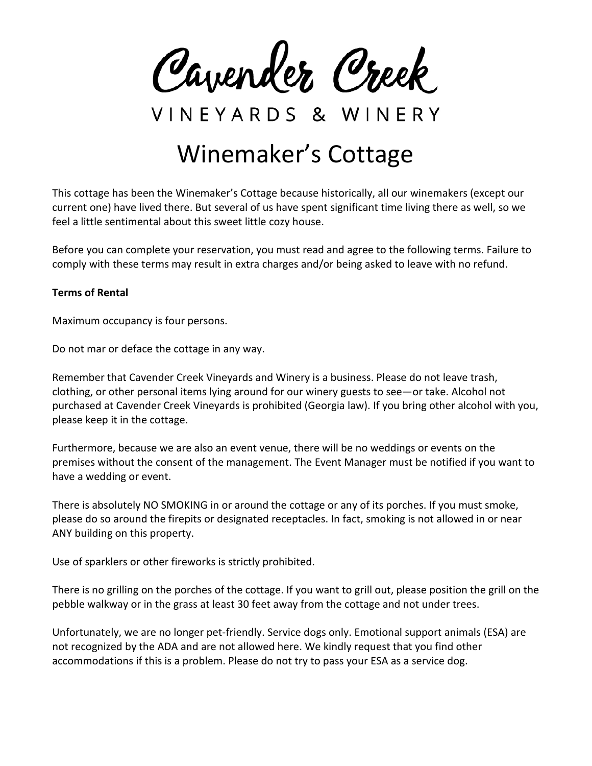Cavender Creek

VINEYARDS & WINERY

## Winemaker's Cottage

This cottage has been the Winemaker's Cottage because historically, all our winemakers (except our current one) have lived there. But several of us have spent significant time living there as well, so we feel a little sentimental about this sweet little cozy house.

Before you can complete your reservation, you must read and agree to the following terms. Failure to comply with these terms may result in extra charges and/or being asked to leave with no refund.

## **Terms of Rental**

Maximum occupancy is four persons.

Do not mar or deface the cottage in any way.

Remember that Cavender Creek Vineyards and Winery is a business. Please do not leave trash, clothing, or other personal items lying around for our winery guests to see—or take. Alcohol not purchased at Cavender Creek Vineyards is prohibited (Georgia law). If you bring other alcohol with you, please keep it in the cottage.

Furthermore, because we are also an event venue, there will be no weddings or events on the premises without the consent of the management. The Event Manager must be notified if you want to have a wedding or event.

There is absolutely NO SMOKING in or around the cottage or any of its porches. If you must smoke, please do so around the firepits or designated receptacles. In fact, smoking is not allowed in or near ANY building on this property.

Use of sparklers or other fireworks is strictly prohibited.

There is no grilling on the porches of the cottage. If you want to grill out, please position the grill on the pebble walkway or in the grass at least 30 feet away from the cottage and not under trees.

Unfortunately, we are no longer pet-friendly. Service dogs only. Emotional support animals (ESA) are not recognized by the ADA and are not allowed here. We kindly request that you find other accommodations if this is a problem. Please do not try to pass your ESA as a service dog.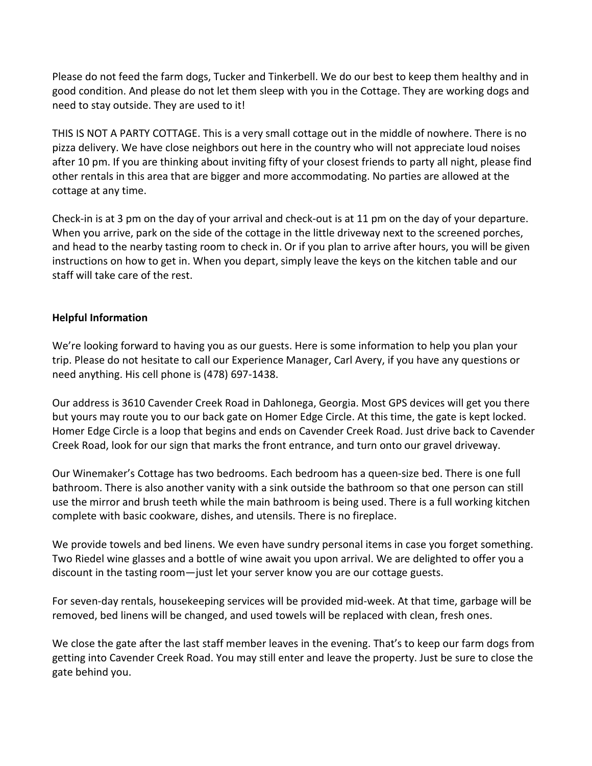Please do not feed the farm dogs, Tucker and Tinkerbell. We do our best to keep them healthy and in good condition. And please do not let them sleep with you in the Cottage. They are working dogs and need to stay outside. They are used to it!

THIS IS NOT A PARTY COTTAGE. This is a very small cottage out in the middle of nowhere. There is no pizza delivery. We have close neighbors out here in the country who will not appreciate loud noises after 10 pm. If you are thinking about inviting fifty of your closest friends to party all night, please find other rentals in this area that are bigger and more accommodating. No parties are allowed at the cottage at any time.

Check-in is at 3 pm on the day of your arrival and check-out is at 11 pm on the day of your departure. When you arrive, park on the side of the cottage in the little driveway next to the screened porches, and head to the nearby tasting room to check in. Or if you plan to arrive after hours, you will be given instructions on how to get in. When you depart, simply leave the keys on the kitchen table and our staff will take care of the rest.

## **Helpful Information**

We're looking forward to having you as our guests. Here is some information to help you plan your trip. Please do not hesitate to call our Experience Manager, Carl Avery, if you have any questions or need anything. His cell phone is (478) 697-1438.

Our address is 3610 Cavender Creek Road in Dahlonega, Georgia. Most GPS devices will get you there but yours may route you to our back gate on Homer Edge Circle. At this time, the gate is kept locked. Homer Edge Circle is a loop that begins and ends on Cavender Creek Road. Just drive back to Cavender Creek Road, look for our sign that marks the front entrance, and turn onto our gravel driveway.

Our Winemaker's Cottage has two bedrooms. Each bedroom has a queen-size bed. There is one full bathroom. There is also another vanity with a sink outside the bathroom so that one person can still use the mirror and brush teeth while the main bathroom is being used. There is a full working kitchen complete with basic cookware, dishes, and utensils. There is no fireplace.

We provide towels and bed linens. We even have sundry personal items in case you forget something. Two Riedel wine glasses and a bottle of wine await you upon arrival. We are delighted to offer you a discount in the tasting room—just let your server know you are our cottage guests.

For seven-day rentals, housekeeping services will be provided mid-week. At that time, garbage will be removed, bed linens will be changed, and used towels will be replaced with clean, fresh ones.

We close the gate after the last staff member leaves in the evening. That's to keep our farm dogs from getting into Cavender Creek Road. You may still enter and leave the property. Just be sure to close the gate behind you.